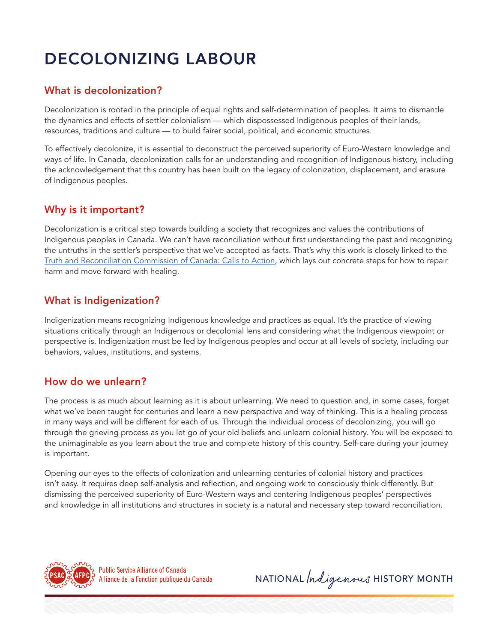# DECOLONIZING LABOUR

### What is decolonization?

Decolonization is rooted in the principle of equal rights and self-determination of peoples. It aims to dismantle the dynamics and effects of settler colonialism — which dispossessed Indigenous peoples of their lands, resources, traditions and culture — to build fairer social, political, and economic structures.

To effectively decolonize, it is essential to deconstruct the perceived superiority of Euro-Western knowledge and ways of life. In Canada, decolonization calls for an understanding and recognition of Indigenous history, including the acknowledgement that this country has been built on the legacy of colonization, displacement, and erasure of Indigenous peoples.

#### Why is it important?

Decolonization is a critical step towards building a society that recognizes and values the contributions of Indigenous peoples in Canada. We can't have reconciliation without first understanding the past and recognizing the untruths in the settler's perspective that we've accepted as facts. That's why this work is closely linked to the [Truth and Reconciliation Commission of Canada: Calls to Action,](https://publications.gc.ca/collections/collection_2015/trc/IR4-8-2015-eng.pdf) which lays out concrete steps for how to repair harm and move forward with healing.

#### What is Indigenization?

Indigenization means recognizing Indigenous knowledge and practices as equal. It's the practice of viewing situations critically through an Indigenous or decolonial lens and considering what the Indigenous viewpoint or perspective is. Indigenization must be led by Indigenous peoples and occur at all levels of society, including our behaviors, values, institutions, and systems.

#### How do we unlearn?

The process is as much about learning as it is about unlearning. We need to question and, in some cases, forget what we've been taught for centuries and learn a new perspective and way of thinking. This is a healing process in many ways and will be different for each of us. Through the individual process of decolonizing, you will go through the grieving process as you let go of your old beliefs and unlearn colonial history. You will be exposed to the unimaginable as you learn about the true and complete history of this country. Self-care during your journey is important.

Opening our eyes to the effects of colonization and unlearning centuries of colonial history and practices isn't easy. It requires deep self-analysis and reflection, and ongoing work to consciously think differently. But dismissing the perceived superiority of Euro-Western ways and centering Indigenous peoples' perspectives and knowledge in all institutions and structures in society is a natural and necessary step toward reconciliation.



NATIONAL *Indigenous* HISTORY MONTH